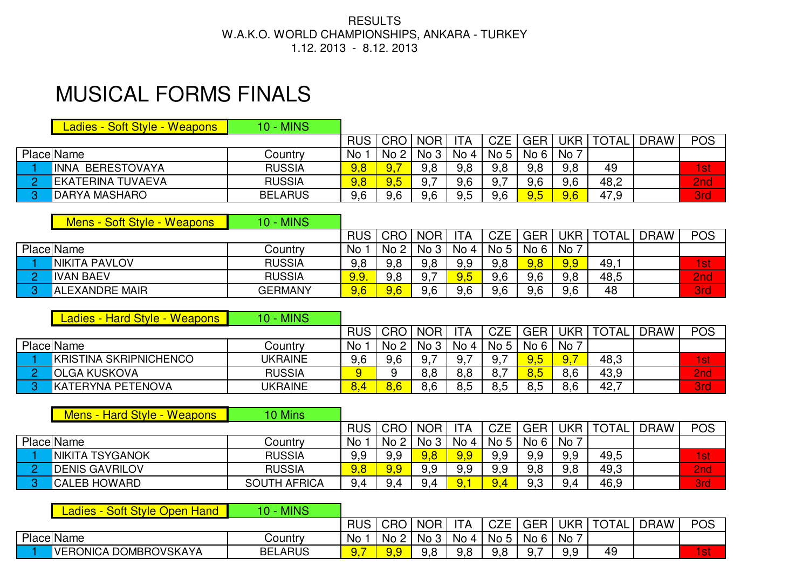## RESULTS W.A.K.O. WORLD CHAMPIONSHIPS, ANKARA - TURKEY 1.12. 2013 - 8.12. 2013

## MUSICAL FORMS FINALS

| Ladies - Soft Style - Weapons I | <b>10 - MINS</b> |      |         |                 |           |            |            |       |              |             |            |
|---------------------------------|------------------|------|---------|-----------------|-----------|------------|------------|-------|--------------|-------------|------------|
|                                 |                  |      | RUS CRO | <b>NOR</b>      | <b>TA</b> | <b>CZE</b> | <b>GER</b> | UKR I | <b>TOTAL</b> | <b>DRAW</b> | <b>POS</b> |
| <b>Place Name</b>               | Country          | No 1 | No 2    | No <sub>3</sub> | No 4      | No 5       | No 6       | No i  |              |             |            |
| <b>INNA BERESTOVAYA</b>         | <b>RUSSIA</b>    | 9,8  | 9.7     | 9,8             | 9,8       | 9.8        | 9,8        | 9,8   | 49           |             | 1st        |
| <b>IEKATERINA TUVAEVA</b>       | <b>RUSSIA</b>    | 9,8  | 9,5     |                 | 9.6       | 9.         | 9,6        | 9,6   | 48,2         |             | 2nd        |
| <b>DARYA MASHARO</b>            | <b>BELARUS</b>   | 9,6  | 9.6     | 9,6             | $9.5\,$   | 9.6        | 9,5        | 9,6   | 47,9         |             | <b>3rd</b> |

|    | Mens - Soft Style - Weapons | <b>10 - MINS</b> |             |                 |             |            |            |            |            |              |             |            |
|----|-----------------------------|------------------|-------------|-----------------|-------------|------------|------------|------------|------------|--------------|-------------|------------|
|    |                             |                  | <b>RUS</b>  | CRO             | <b>NOR</b>  | <b>ITA</b> | <b>CZE</b> | <b>GER</b> | <b>UKR</b> | <b>TOTAL</b> | <b>DRAW</b> | <b>POS</b> |
|    | <b>Place Name</b>           | Country          | No          | No <sub>2</sub> | No 3   No 4 |            | No 5       | No 6       | No 7       |              |             |            |
|    | NIKITA PAVLOV               | <b>RUSSIA</b>    | 9,8         | 9,8             | 9,8         | 9,9        | 9,8        | 9,8        | 9,9        | 49,          |             | 1st        |
|    | <b>IVAN BAEV</b>            | <b>RUSSIA</b>    | <u>9.9.</u> | 9,8             | 9.          | 9.5        | 9,6        | 9,6        | 9,8        | 48,5         |             | 2nd        |
| n. | <b>ALEXANDRE MAIR</b>       | <b>GERMANY</b>   | 9,6         | 9,6             | 9,6         | 9,6        | 9,6        | 9,6        | 9,6        | 48           |             | <b>3rd</b> |

| Ladies - Hard Style - Weapons | <b>10 - MINS</b> |      |      |            |      |      |            |              |      |             |            |
|-------------------------------|------------------|------|------|------------|------|------|------------|--------------|------|-------------|------------|
|                               |                  | RUS, | CRO  | <b>NOR</b> | 'TA  | CZE  | <b>GER</b> | JKR          | `TA∟ | <b>DRAW</b> | <b>POS</b> |
| <b>Place Name</b>             | <b>Country</b>   | No l | No 2 | No 3       | No 4 | No 5 | No 6       | <b>No</b>    |      |             |            |
| <b>KRISTINA SKRIPNICHENCO</b> | <b>UKRAINE</b>   | 9,6  | 9.6  |            | 9.   | У.   | 9,5        | $\sqrt{9,7}$ | 48,3 |             | 1st        |
| <b>IOLGA KUSKOVA</b>          | <b>RUSSIA</b>    | 9    |      | 8,8        | 8,8  | 8.   | 8,5        | 8,6          | 43,9 |             | 2nd        |
| KATERYNA PETENOVA             | <b>UKRAINE</b>   | 8.4  | 8,6  | 8.6        | 8.5  | ο.⊾  | 8.5        | 8,6          | 42,7 |             | <b>3rd</b> |

| Mens - Hard Style - Weapons | 10 Mins             |       |                 |            |      |            |            |      |              |             |            |
|-----------------------------|---------------------|-------|-----------------|------------|------|------------|------------|------|--------------|-------------|------------|
|                             |                     | RUS I | <b>CRO</b>      | <b>NOR</b> | 'TA  | <b>CZE</b> | <b>GER</b> | UKR  | <b>TOTAL</b> | <b>DRAW</b> | <b>POS</b> |
| <b>Place Name</b>           | Country             | No :  | No <sub>2</sub> | No 3       | No 4 | No 5       | No 6       | No 1 |              |             |            |
| <b>NIKITA TSYGANOK</b>      | <b>RUSSIA</b>       | 9,9   | 9,9             | 9,8        |      | 9,9        | 9,9        | 9,9  | 49,5         |             | 1st        |
| <b>DENIS GAVRILOV</b>       | <b>RUSSIA</b>       | 9,8   | 9,9             | 9,9        | 9,9  | 9,9        | 9,8        | 9,8  | 49,3         |             | 2nd        |
| <b>ICALEB HOWARD</b>        | <b>SOUTH AFRICA</b> | 9,4   | 9,4             | QΔ         |      | 9,4        | 9,3        | 9,4  | 46,9         |             | <b>3rd</b> |

| .adies<br><b>Soft Style Open</b><br>Hand<br>$\overline{\phantom{a}}$ | 10 - MINS      |            |      |            |            |                 |            |     |              |             |            |
|----------------------------------------------------------------------|----------------|------------|------|------------|------------|-----------------|------------|-----|--------------|-------------|------------|
|                                                                      |                | <b>RUS</b> | CRO  | <b>NOR</b> | <b>ITA</b> | <b>CZE</b>      | <b>GER</b> | UKR | <b>TOTAL</b> | <b>DRAW</b> | <b>POS</b> |
| Place Name                                                           | $J$ ountrv     | <b>No</b>  | No 2 | No 3       | No 4       | No <sub>5</sub> | No 6       | No  |              |             |            |
| VERONICA DOMBROVSKAYA                                                | <b>BELARUS</b> | v.         | 9.9  | 9,8        | 9,8        |                 | _<br>9.    | 9,9 | 49           |             | l st       |